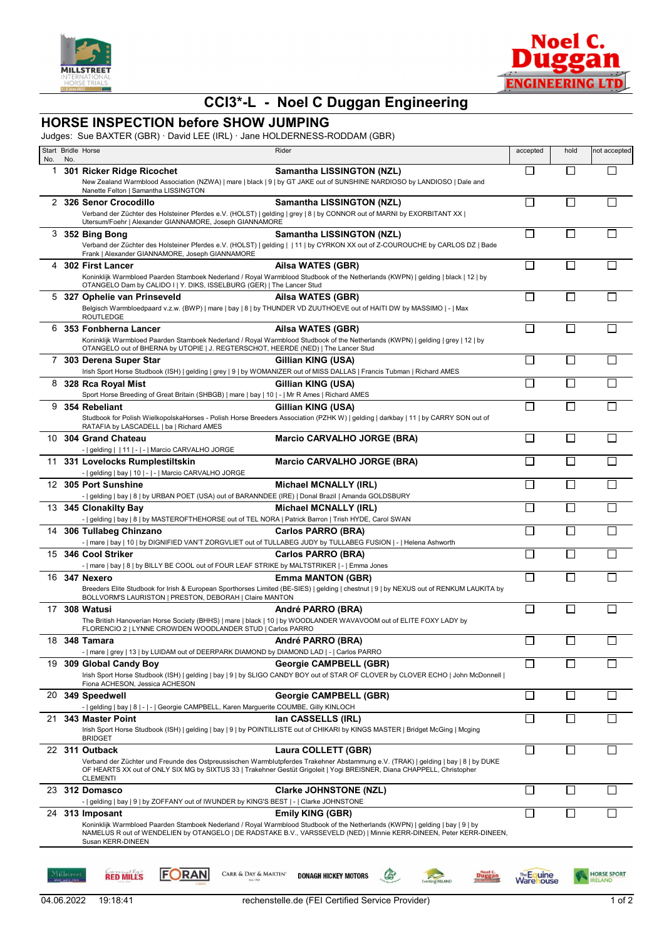



## **CCI3\*-L - Noel C Duggan Engineering**

## **HORSE INSPECTION before SHOW JUMPING**

Judges: Sue BAXTER (GBR) · David LEE (IRL) · Jane HOLDERNESS-RODDAM (GBR)

| No. | No.        | Start Bridle Horse                                                                                                                           | Rider                                                                                                                                                                                                                                                                               | accepted                 | hold         | not accepted                        |
|-----|------------|----------------------------------------------------------------------------------------------------------------------------------------------|-------------------------------------------------------------------------------------------------------------------------------------------------------------------------------------------------------------------------------------------------------------------------------------|--------------------------|--------------|-------------------------------------|
| 1   |            | 301 Ricker Ridge Ricochet<br>Nanette Felton   Samantha LISSINGTON                                                                            | <b>Samantha LISSINGTON (NZL)</b><br>New Zealand Warmblood Association (NZWA)   mare   black   9   by GT JAKE out of SUNSHINE NARDIOSO by LANDIOSO   Dale and                                                                                                                        | П                        | $\mathsf{L}$ |                                     |
|     |            | 2 326 Senor Crocodillo<br>Utersum/Foehr   Alexander GIANNAMORE, Joseph GIANNAMORE                                                            | <b>Samantha LISSINGTON (NZL)</b><br>Verband der Züchter des Holsteiner Pferdes e.V. (HOLST)   gelding   grey   8   by CONNOR out of MARNI by EXORBITANT XX                                                                                                                          | П                        | L            |                                     |
|     |            | 3 352 Bing Bong<br>Frank   Alexander GIANNAMORE, Joseph GIANNAMORE                                                                           | Samantha LISSINGTON (NZL)<br>Verband der Züchter des Holsteiner Pferdes e.V. (HOLST)   gelding     11   by CYRKON XX out of Z-COUROUCHE by CARLOS DZ   Bade                                                                                                                         | □                        |              |                                     |
| 4   |            | 302 First Lancer<br>OTANGELO Dam by CALIDO I   Y. DIKS, ISSELBURG (GER)   The Lancer Stud                                                    | Ailsa WATES (GBR)<br>Koninklijk Warmbloed Paarden Stamboek Nederland / Royal Warmblood Studbook of the Netherlands (KWPN)   gelding   black   12   by                                                                                                                               | □                        | П            |                                     |
|     |            | 5 327 Ophelie van Prinseveld<br><b>ROUTLEDGE</b>                                                                                             | Ailsa WATES (GBR)<br>Belgisch Warmbloedpaard v.z.w. (BWP)   mare   bay   8   by THUNDER VD ZUUTHOEVE out of HAITI DW by MASSIMO   -   Max                                                                                                                                           | П                        |              |                                     |
|     |            | 6 353 Fonbherna Lancer<br>OTANGELO out of BHERNA by UTOPIE   J. REGTERSCHOT, HEERDE (NED)   The Lancer Stud                                  | Ailsa WATES (GBR)<br>Koninklijk Warmbloed Paarden Stamboek Nederland / Royal Warmblood Studbook of the Netherlands (KWPN)   gelding   grey   12   by                                                                                                                                | □                        | $\Box$       |                                     |
| 7   |            | 303 Derena Super Star                                                                                                                        | Gillian KING (USA)<br>Irish Sport Horse Studbook (ISH)   gelding   grey   9   by WOMANIZER out of MISS DALLAS   Francis Tubman   Richard AMES                                                                                                                                       | П                        |              |                                     |
|     |            | 8 328 Rca Royal Mist<br>Sport Horse Breeding of Great Britain (SHBGB)   mare   bay   10   -   Mr R Ames   Richard AMES                       | Gillian KING (USA)                                                                                                                                                                                                                                                                  | П                        |              |                                     |
|     |            | 9 354 Rebeliant<br>RATAFIA by LASCADELL   ba   Richard AMES                                                                                  | Gillian KING (USA)<br>Studbook for Polish WielkopolskaHorses - Polish Horse Breeders Association (PZHK W)   gelding   darkbay   11   by CARRY SON out of                                                                                                                            | $\Box$                   |              |                                     |
|     |            | 10 304 Grand Chateau<br>-   gelding     11   -   -   Marcio CARVALHO JORGE                                                                   | <b>Marcio CARVALHO JORGE (BRA)</b>                                                                                                                                                                                                                                                  | $\Box$                   | $\mathbf{I}$ |                                     |
|     |            | 11 331 Lovelocks Rumplestiltskin<br>-   gelding   bay   10   -   -   Marcio CARVALHO JORGE                                                   | <b>Marcio CARVALHO JORGE (BRA)</b>                                                                                                                                                                                                                                                  | $\Box$                   |              |                                     |
|     |            | 12 305 Port Sunshine<br>-   gelding   bay   8   by URBAN POET (USA) out of BARANNDEE (IRE)   Donal Brazil   Amanda GOLDSBURY                 | Michael MCNALLY (IRL)                                                                                                                                                                                                                                                               | $\Box$                   |              |                                     |
|     |            | 13 345 Clonakilty Bay<br>-   gelding   bay   8   by MASTEROFTHEHORSE out of TEL NORA   Patrick Barron   Trish HYDE, Carol SWAN               | Michael MCNALLY (IRL)                                                                                                                                                                                                                                                               | $\overline{\phantom{a}}$ |              |                                     |
|     |            | 14 306 Tullabeg Chinzano<br>-   mare   bay   10   by DIGNIFIED VAN'T ZORGVLIET out of TULLABEG JUDY by TULLABEG FUSION   -   Helena Ashworth | <b>Carlos PARRO (BRA)</b>                                                                                                                                                                                                                                                           | Π                        | L            |                                     |
|     |            | 15 346 Cool Striker<br>-   mare   bay   8   by BILLY BE COOL out of FOUR LEAF STRIKE by MALTSTRIKER   -   Emma Jones                         | Carlos PARRO (BRA)                                                                                                                                                                                                                                                                  | $\Box$                   |              |                                     |
|     |            | 16 347 Nexero<br>BOLLVORM'S LAURISTON   PRESTON, DEBORAH   Claire MANTON                                                                     | <b>Emma MANTON (GBR)</b><br>Breeders Elite Studbook for Irish & European Sporthorses Limited (BE-SIES)   gelding   chestnut   9   by NEXUS out of RENKUM LAUKITA by                                                                                                                 | П                        |              |                                     |
|     |            | 17 308 Watusi<br>FLORENCIO 2   LYNNE CROWDEN WOODLANDER STUD   Carlos PARRO                                                                  | André PARRO (BRA)<br>The British Hanoverian Horse Society (BHHS)   mare   black   10   by WOODLANDER WAVAVOOM out of ELITE FOXY LADY by                                                                                                                                             | П                        |              |                                     |
|     |            | 18 348 Tamara<br>-   mare   grey   13   by LUIDAM out of DEERPARK DIAMOND by DIAMOND LAD   -   Carlos PARRO                                  | André PARRO (BRA)                                                                                                                                                                                                                                                                   | $\Box$                   |              |                                     |
|     |            | 19 309 Global Candy Boy<br>Fiona ACHESON, Jessica ACHESON                                                                                    | <b>Georgie CAMPBELL (GBR)</b><br>Irish Sport Horse Studbook (ISH)   gelding   bay   9   by SLIGO CANDY BOY out of STAR OF CLOVER by CLOVER ECHO   John McDonnell                                                                                                                    | $\Box$                   |              |                                     |
|     |            | 20 349 Speedwell<br>-   gelding   bay   8   -   -   Georgie CAMPBELL, Karen Marguerite COUMBE, Gilly KINLOCH                                 | <b>Georgie CAMPBELL (GBR)</b>                                                                                                                                                                                                                                                       | □                        | $\Box$       |                                     |
| 21  |            | 343 Master Point<br><b>BRIDGET</b>                                                                                                           | lan CASSELLS (IRL)<br>Irish Sport Horse Studbook (ISH)   gelding   bay   9   by POINTILLISTE out of CHIKARI by KINGS MASTER   Bridget McGing   Mcging                                                                                                                               | $\Box$                   |              |                                     |
|     |            | 22 311 Outback<br><b>CLEMENTI</b>                                                                                                            | Laura COLLETT (GBR)<br>Verband der Züchter und Freunde des Ostpreussischen Warmblutpferdes Trakehner Abstammung e.V. (TRAK)   gelding   bay   8   by DUKE<br>OF HEARTS XX out of ONLY SIX MG by SIXTUS 33   Trakehner Gestüt Grigoleit   Yogi BREISNER, Diana CHAPPELL, Christopher | □                        | $\Box$       |                                     |
|     |            | 23 312 Domasco<br>-   gelding   bay   9   by ZOFFANY out of IWUNDER by KING'S BEST   -   Clarke JOHNSTONE                                    | <b>Clarke JOHNSTONE (NZL)</b>                                                                                                                                                                                                                                                       | □                        | $\Box$       |                                     |
|     |            | 24 313 Imposant<br>Susan KERR-DINEEN                                                                                                         | <b>Emily KING (GBR)</b><br>Koninklijk Warmbloed Paarden Stamboek Nederland / Royal Warmblood Studbook of the Netherlands (KWPN)   gelding   bay   9   by<br>NAMELUS R out of WENDELIEN by OTANGELO   DE RADSTAKE B.V., VARSSEVELD (NED)   Minnie KERR-DINEEN, Peter KERR-DINEEN,    | □                        |              |                                     |
|     | Milløtreet | <b>FORAN</b><br><b>RED MILLS</b><br>CARR & DAY & MARTIN'                                                                                     | <b>CO</b><br><b>DONAGH HICKEY MOTORS</b><br><b>Duggan</b><br><b>Eventing IRELAND</b>                                                                                                                                                                                                | <b>Warehouse</b>         |              | <b>HORSE SPORT</b><br><b>RELAND</b> |